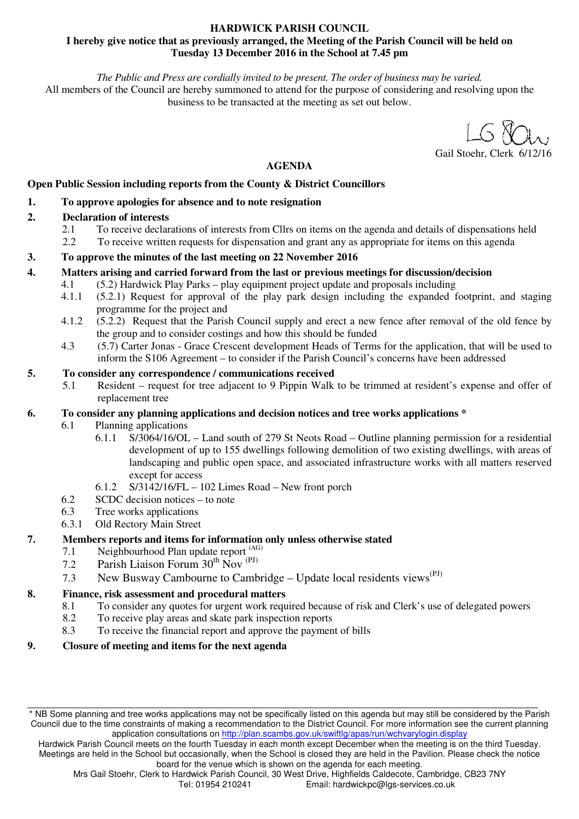#### **HARDWICK PARISH COUNCIL I hereby give notice that as previously arranged, the Meeting of the Parish Council will be held on Tuesday 13 December 2016 in the School at 7.45 pm**

*The Public and Press are cordially invited to be present. The order of business may be varied.* 

All members of the Council are hereby summoned to attend for the purpose of considering and resolving upon the business to be transacted at the meeting as set out below.

Gail Stoehr, Clerk 6/12/16

**AGENDA** 

#### **Open Public Session including reports from the County & District Councillors**

#### **1. To approve apologies for absence and to note resignation**

#### **2. Declaration of interests**

- 2.1 To receive declarations of interests from Cllrs on items on the agenda and details of dispensations held
- 2.2 To receive written requests for dispensation and grant any as appropriate for items on this agenda

#### **3. To approve the minutes of the last meeting on 22 November 2016**

# **4. Matters arising and carried forward from the last or previous meetings for discussion/decision**

- 4.1 (5.2) Hardwick Play Parks play equipment project update and proposals including
	- 4.1.1 (5.2.1) Request for approval of the play park design including the expanded footprint, and staging programme for the project and
	- 4.1.2 (5.2.2) Request that the Parish Council supply and erect a new fence after removal of the old fence by the group and to consider costings and how this should be funded
	- 4.3 (5.7) Carter Jonas Grace Crescent development Heads of Terms for the application, that will be used to inform the S106 Agreement – to consider if the Parish Council's concerns have been addressed

# **5. To consider any correspondence / communications received**

5.1 Resident – request for tree adjacent to 9 Pippin Walk to be trimmed at resident's expense and offer of replacement tree

#### **6. To consider any planning applications and decision notices and tree works applications \***

- 6.1 Planning applications
	- 6.1.1 S/3064/16/OL Land south of 279 St Neots Road Outline planning permission for a residential development of up to 155 dwellings following demolition of two existing dwellings, with areas of landscaping and public open space, and associated infrastructure works with all matters reserved except for access
		- 6.1.2 S/3142/16/FL 102 Limes Road New front porch
- 6.2 SCDC decision notices to note
- 6.3 Tree works applications
- 6.3.1 Old Rectory Main Street

# **7. Members reports and items for information only unless otherwise stated**

- 7.1 Neighbourhood Plan update report (AG)
- 7.2 Parish Liaison Forum 30<sup>th</sup> Nov<sup>(PJ)</sup>
- 7.3 New Busway Cambourne to Cambridge Update local residents views<sup>(PJ)</sup>

# **8. Finance, risk assessment and procedural matters**

- 8.1 To consider any quotes for urgent work required because of risk and Clerk's use of delegated powers
- 8.2 To receive play areas and skate park inspection reports
- 8.3 To receive the financial report and approve the payment of bills

# **9. Closure of meeting and items for the next agenda**

<sup>\*</sup> NB Some planning and tree works applications may not be specifically listed on this agenda but may still be considered by the Parish Council due to the time constraints of making a recommendation to the District Council. For more information see the current planning application consultations on http://plan.scambs.gov.uk/swiftlg/apas/run/wchvarylogin.display

Hardwick Parish Council meets on the fourth Tuesday in each month except December when the meeting is on the third Tuesday. Meetings are held in the School but occasionally, when the School is closed they are held in the Pavilion. Please check the notice board for the venue which is shown on the agenda for each meeting.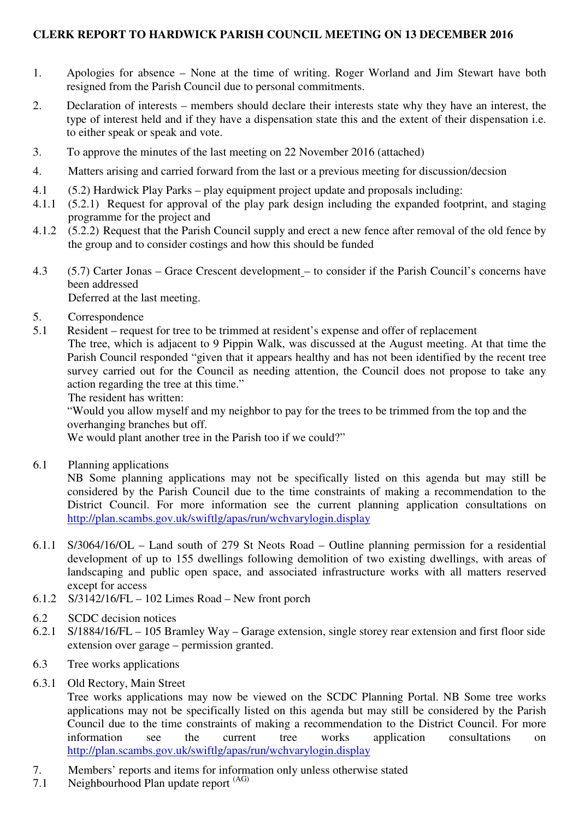# **CLERK REPORT TO HARDWICK PARISH COUNCIL MEETING ON 13 DECEMBER 2016**

- 1. Apologies for absence None at the time of writing. Roger Worland and Jim Stewart have both resigned from the Parish Council due to personal commitments.
- 2. Declaration of interests members should declare their interests state why they have an interest, the type of interest held and if they have a dispensation state this and the extent of their dispensation i.e. to either speak or speak and vote.
- 3. To approve the minutes of the last meeting on 22 November 2016 (attached)
- 4. Matters arising and carried forward from the last or a previous meeting for discussion/decsion
- 4.1 (5.2) Hardwick Play Parks play equipment project update and proposals including:
- 4.1.1 (5.2.1) Request for approval of the play park design including the expanded footprint, and staging programme for the project and
- 4.1.2 (5.2.2) Request that the Parish Council supply and erect a new fence after removal of the old fence by the group and to consider costings and how this should be funded
- 4.3 (5.7) Carter Jonas Grace Crescent development to consider if the Parish Council's concerns have been addressed

Deferred at the last meeting.

- 5. Correspondence
- 5.1 Resident request for tree to be trimmed at resident's expense and offer of replacement

The tree, which is adjacent to 9 Pippin Walk, was discussed at the August meeting. At that time the Parish Council responded "given that it appears healthy and has not been identified by the recent tree survey carried out for the Council as needing attention, the Council does not propose to take any action regarding the tree at this time."

The resident has written:

"Would you allow myself and my neighbor to pay for the trees to be trimmed from the top and the overhanging branches but off.

We would plant another tree in the Parish too if we could?"

6.1 Planning applications

NB Some planning applications may not be specifically listed on this agenda but may still be considered by the Parish Council due to the time constraints of making a recommendation to the District Council. For more information see the current planning application consultations on http://plan.scambs.gov.uk/swiftlg/apas/run/wchvarylogin.display

- 6.1.1 S/3064/16/OL Land south of 279 St Neots Road Outline planning permission for a residential development of up to 155 dwellings following demolition of two existing dwellings, with areas of landscaping and public open space, and associated infrastructure works with all matters reserved except for access
- 6.1.2 S/3142/16/FL 102 Limes Road New front porch
- 6.2 SCDC decision notices
- 6.2.1 S/1884/16/FL 105 Bramley Way Garage extension, single storey rear extension and first floor side extension over garage – permission granted.
- 6.3 Tree works applications
- 6.3.1 Old Rectory, Main Street

Tree works applications may now be viewed on the SCDC Planning Portal. NB Some tree works applications may not be specifically listed on this agenda but may still be considered by the Parish Council due to the time constraints of making a recommendation to the District Council. For more information see the current tree works application consultations on http://plan.scambs.gov.uk/swiftlg/apas/run/wchvarylogin.display

- 7. Members' reports and items for information only unless otherwise stated
- 7.1 Neighbourhood Plan update report (AG)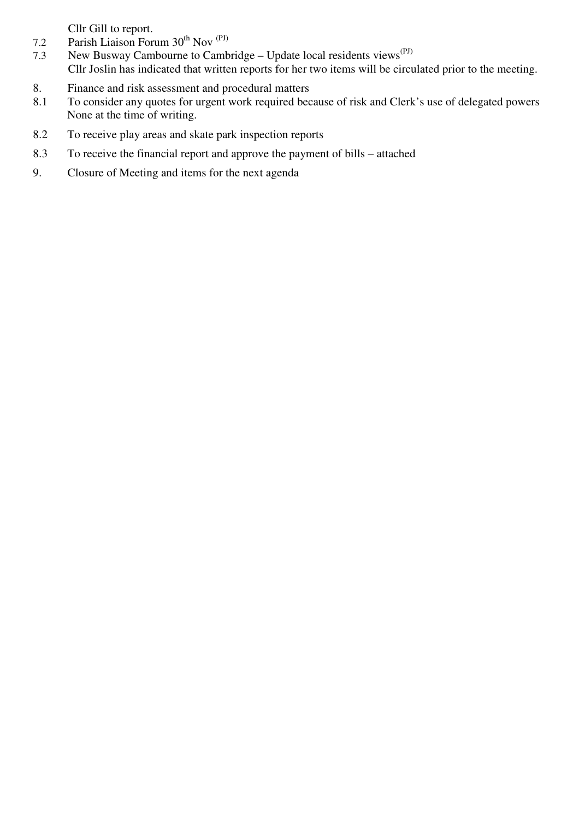Cllr Gill to report.

- 7.2 Parish Liaison Forum 30<sup>th</sup> Nov<sup>(PJ)</sup>
- 7.3 New Busway Cambourne to Cambridge Update local residents views<sup>(PJ)</sup> Cllr Joslin has indicated that written reports for her two items will be circulated prior to the meeting.
- 8. Finance and risk assessment and procedural matters
- 8.1 To consider any quotes for urgent work required because of risk and Clerk's use of delegated powers None at the time of writing.
- 8.2 To receive play areas and skate park inspection reports
- 8.3 To receive the financial report and approve the payment of bills attached
- 9. Closure of Meeting and items for the next agenda